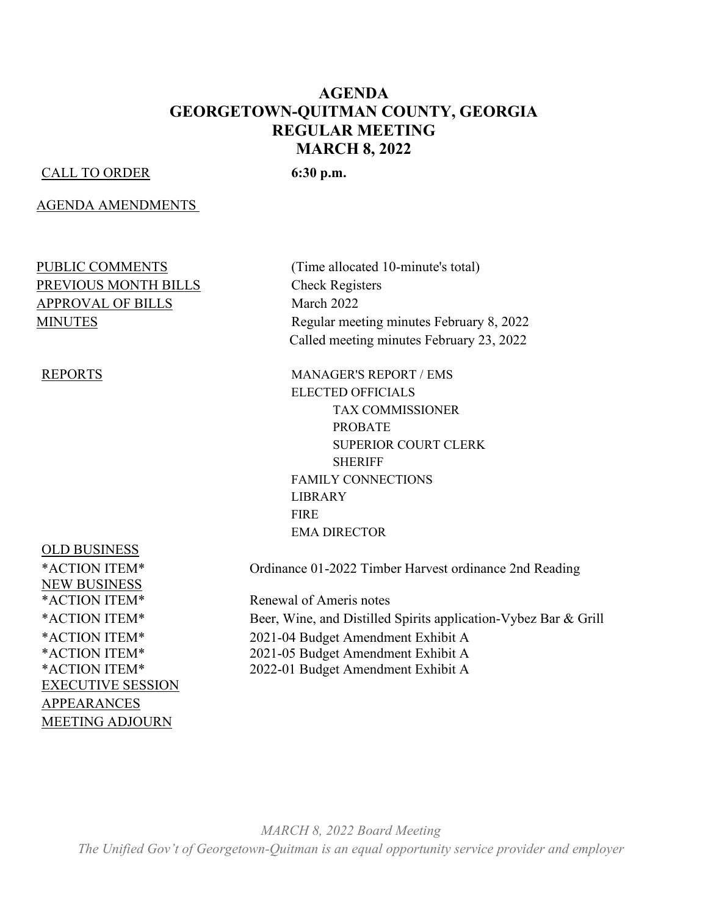#### **AGENDA GEORGETOWN-QUITMAN COUNTY, GEORGIA REGULAR MEETING MARCH 8, 2022**

#### CALL TO ORDER **6:30 p.m.**

#### AGENDA AMENDMENTS

# PREVIOUS MONTH BILLS<br>
Check Registers APPROVAL OF BILLS March 2022

OLD BUSINESS NEW BUSINESS EXECUTIVE SESSION APPEARANCES MEETING ADJOURN

PUBLIC COMMENTS (Time allocated 10-minute's total) MINUTES Regular meeting minutes February 8, 2022 Called meeting minutes February 23, 2022

REPORTS MANAGER'S REPORT / EMS ELECTED OFFICIALS TAX COMMISSIONER PROBATE SUPERIOR COURT CLERK **SHERIFF** FAMILY CONNECTIONS LIBRARY **FIRE** EMA DIRECTOR

\*ACTION ITEM\* Ordinance 01-2022 Timber Harvest ordinance 2nd Reading

\*ACTION ITEM\* Renewal of Ameris notes \*ACTION ITEM\* Beer, Wine, and Distilled Spirits application-Vybez Bar & Grill \*ACTION ITEM\* 2021-04 Budget Amendment Exhibit A \*ACTION ITEM\* 2021-05 Budget Amendment Exhibit A \*ACTION ITEM\* 2022-01 Budget Amendment Exhibit A

*MARCH 8, 2022 Board Meeting The Unified Gov't of Georgetown-Quitman is an equal opportunity service provider and employer*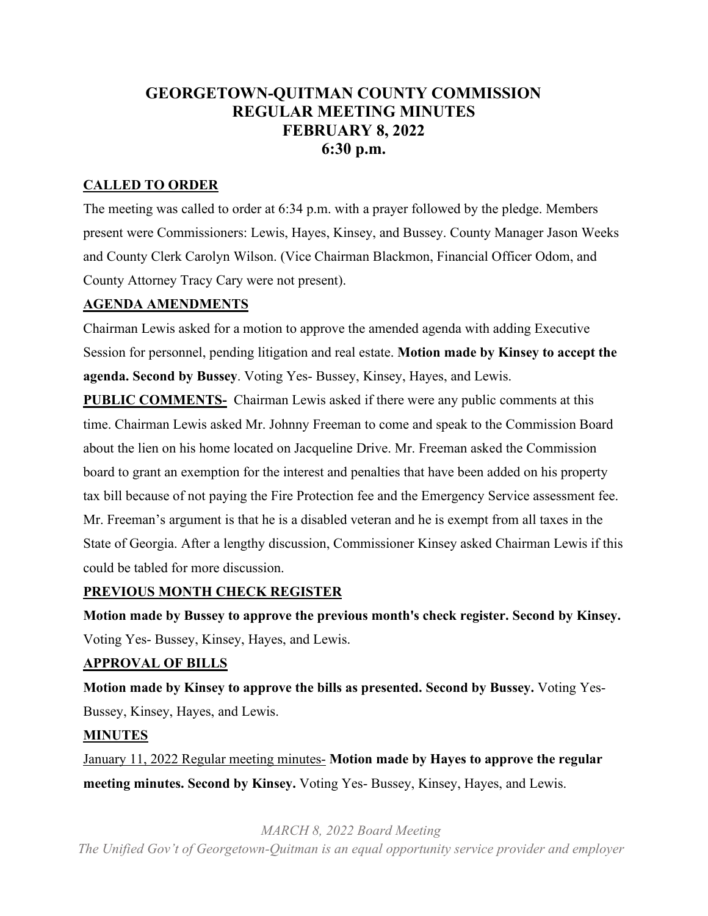# **GEORGETOWN-QUITMAN COUNTY COMMISSION REGULAR MEETING MINUTES FEBRUARY 8, 2022 6:30 p.m.**

#### **CALLED TO ORDER**

The meeting was called to order at 6:34 p.m. with a prayer followed by the pledge. Members present were Commissioners: Lewis, Hayes, Kinsey, and Bussey. County Manager Jason Weeks and County Clerk Carolyn Wilson. (Vice Chairman Blackmon, Financial Officer Odom, and County Attorney Tracy Cary were not present).

#### **AGENDA AMENDMENTS**

Chairman Lewis asked for a motion to approve the amended agenda with adding Executive Session for personnel, pending litigation and real estate. **Motion made by Kinsey to accept the agenda. Second by Bussey**. Voting Yes- Bussey, Kinsey, Hayes, and Lewis.

**PUBLIC COMMENTS-** Chairman Lewis asked if there were any public comments at this time. Chairman Lewis asked Mr. Johnny Freeman to come and speak to the Commission Board about the lien on his home located on Jacqueline Drive. Mr. Freeman asked the Commission board to grant an exemption for the interest and penalties that have been added on his property tax bill because of not paying the Fire Protection fee and the Emergency Service assessment fee. Mr. Freeman's argument is that he is a disabled veteran and he is exempt from all taxes in the State of Georgia. After a lengthy discussion, Commissioner Kinsey asked Chairman Lewis if this could be tabled for more discussion.

#### **PREVIOUS MONTH CHECK REGISTER**

**Motion made by Bussey to approve the previous month's check register. Second by Kinsey.** Voting Yes- Bussey, Kinsey, Hayes, and Lewis.

#### **APPROVAL OF BILLS**

**Motion made by Kinsey to approve the bills as presented. Second by Bussey.** Voting Yes-Bussey, Kinsey, Hayes, and Lewis.

#### **MINUTES**

January 11, 2022 Regular meeting minutes- **Motion made by Hayes to approve the regular meeting minutes. Second by Kinsey.** Voting Yes- Bussey, Kinsey, Hayes, and Lewis.

*MARCH 8, 2022 Board Meeting*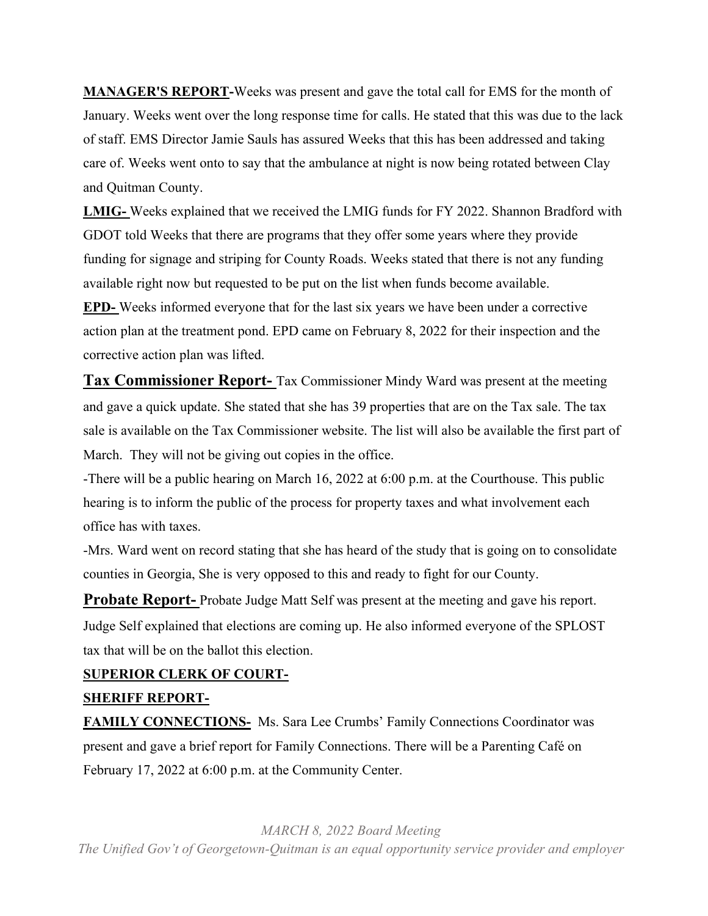**MANAGER'S REPORT-**Weeks was present and gave the total call for EMS for the month of January. Weeks went over the long response time for calls. He stated that this was due to the lack of staff. EMS Director Jamie Sauls has assured Weeks that this has been addressed and taking care of. Weeks went onto to say that the ambulance at night is now being rotated between Clay and Quitman County.

**LMIG-** Weeks explained that we received the LMIG funds for FY 2022. Shannon Bradford with GDOT told Weeks that there are programs that they offer some years where they provide funding for signage and striping for County Roads. Weeks stated that there is not any funding available right now but requested to be put on the list when funds become available. **EPD-** Weeks informed everyone that for the last six years we have been under a corrective action plan at the treatment pond. EPD came on February 8, 2022 for their inspection and the corrective action plan was lifted.

**Tax Commissioner Report-** Tax Commissioner Mindy Ward was present at the meeting and gave a quick update. She stated that she has 39 properties that are on the Tax sale. The tax sale is available on the Tax Commissioner website. The list will also be available the first part of March. They will not be giving out copies in the office.

-There will be a public hearing on March 16, 2022 at 6:00 p.m. at the Courthouse. This public hearing is to inform the public of the process for property taxes and what involvement each office has with taxes.

-Mrs. Ward went on record stating that she has heard of the study that is going on to consolidate counties in Georgia, She is very opposed to this and ready to fight for our County.

**Probate Report-** Probate Judge Matt Self was present at the meeting and gave his report. Judge Self explained that elections are coming up. He also informed everyone of the SPLOST tax that will be on the ballot this election.

#### **SUPERIOR CLERK OF COURT-**

#### **SHERIFF REPORT-**

**FAMILY CONNECTIONS-** Ms. Sara Lee Crumbs' Family Connections Coordinator was present and gave a brief report for Family Connections. There will be a Parenting Café on February 17, 2022 at 6:00 p.m. at the Community Center.

*MARCH 8, 2022 Board Meeting*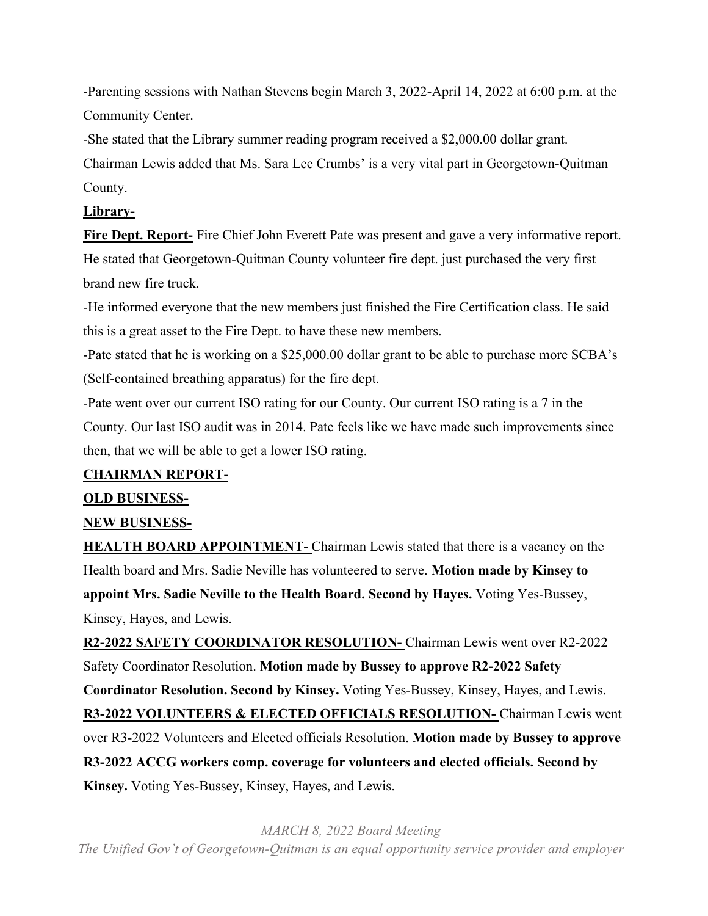-Parenting sessions with Nathan Stevens begin March 3, 2022-April 14, 2022 at 6:00 p.m. at the Community Center.

-She stated that the Library summer reading program received a \$2,000.00 dollar grant.

Chairman Lewis added that Ms. Sara Lee Crumbs' is a very vital part in Georgetown-Quitman County.

#### **Library-**

**Fire Dept. Report-** Fire Chief John Everett Pate was present and gave a very informative report. He stated that Georgetown-Quitman County volunteer fire dept. just purchased the very first brand new fire truck.

-He informed everyone that the new members just finished the Fire Certification class. He said this is a great asset to the Fire Dept. to have these new members.

-Pate stated that he is working on a \$25,000.00 dollar grant to be able to purchase more SCBA's (Self-contained breathing apparatus) for the fire dept.

-Pate went over our current ISO rating for our County. Our current ISO rating is a 7 in the County. Our last ISO audit was in 2014. Pate feels like we have made such improvements since then, that we will be able to get a lower ISO rating.

#### **CHAIRMAN REPORT-**

#### **OLD BUSINESS-**

#### **NEW BUSINESS-**

**HEALTH BOARD APPOINTMENT-** Chairman Lewis stated that there is a vacancy on the Health board and Mrs. Sadie Neville has volunteered to serve. **Motion made by Kinsey to appoint Mrs. Sadie Neville to the Health Board. Second by Hayes.** Voting Yes-Bussey, Kinsey, Hayes, and Lewis.

**R2-2022 SAFETY COORDINATOR RESOLUTION-** Chairman Lewis went over R2-2022 Safety Coordinator Resolution. **Motion made by Bussey to approve R2-2022 Safety Coordinator Resolution. Second by Kinsey.** Voting Yes-Bussey, Kinsey, Hayes, and Lewis. **R3-2022 VOLUNTEERS & ELECTED OFFICIALS RESOLUTION-** Chairman Lewis went over R3-2022 Volunteers and Elected officials Resolution. **Motion made by Bussey to approve R3-2022 ACCG workers comp. coverage for volunteers and elected officials. Second by Kinsey.** Voting Yes-Bussey, Kinsey, Hayes, and Lewis.

*MARCH 8, 2022 Board Meeting*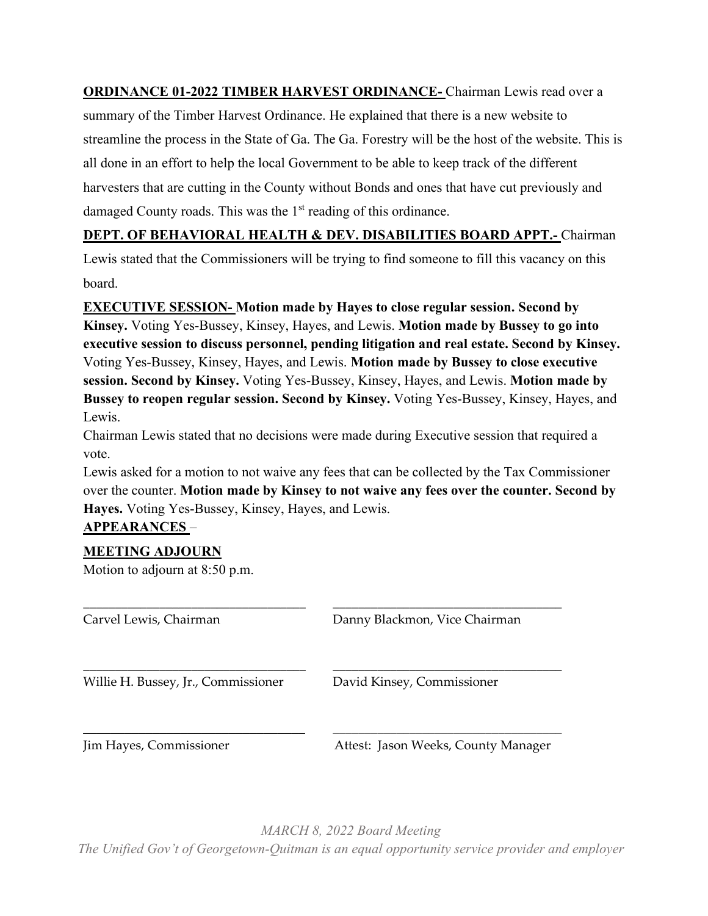**ORDINANCE 01-2022 TIMBER HARVEST ORDINANCE-** Chairman Lewis read over a summary of the Timber Harvest Ordinance. He explained that there is a new website to streamline the process in the State of Ga. The Ga. Forestry will be the host of the website. This is all done in an effort to help the local Government to be able to keep track of the different harvesters that are cutting in the County without Bonds and ones that have cut previously and damaged County roads. This was the  $1<sup>st</sup>$  reading of this ordinance.

## **DEPT. OF BEHAVIORAL HEALTH & DEV. DISABILITIES BOARD APPT.-** Chairman

Lewis stated that the Commissioners will be trying to find someone to fill this vacancy on this board.

**EXECUTIVE SESSION- Motion made by Hayes to close regular session. Second by Kinsey.** Voting Yes-Bussey, Kinsey, Hayes, and Lewis. **Motion made by Bussey to go into executive session to discuss personnel, pending litigation and real estate. Second by Kinsey.** Voting Yes-Bussey, Kinsey, Hayes, and Lewis. **Motion made by Bussey to close executive session. Second by Kinsey.** Voting Yes-Bussey, Kinsey, Hayes, and Lewis. **Motion made by Bussey to reopen regular session. Second by Kinsey.** Voting Yes-Bussey, Kinsey, Hayes, and Lewis.

Chairman Lewis stated that no decisions were made during Executive session that required a vote.

Lewis asked for a motion to not waive any fees that can be collected by the Tax Commissioner over the counter. **Motion made by Kinsey to not waive any fees over the counter. Second by Hayes.** Voting Yes-Bussey, Kinsey, Hayes, and Lewis.

## **APPEARANCES** –

#### **MEETING ADJOURN**

Motion to adjourn at 8:50 p.m.

| Carvel Lewis, Chairman              | Danny Blackmon, Vice Chairman       |
|-------------------------------------|-------------------------------------|
| Willie H. Bussey, Jr., Commissioner | David Kinsey, Commissioner          |
| Jim Hayes, Commissioner             | Attest: Jason Weeks, County Manager |

*MARCH 8, 2022 Board Meeting The Unified Gov't of Georgetown-Quitman is an equal opportunity service provider and employer*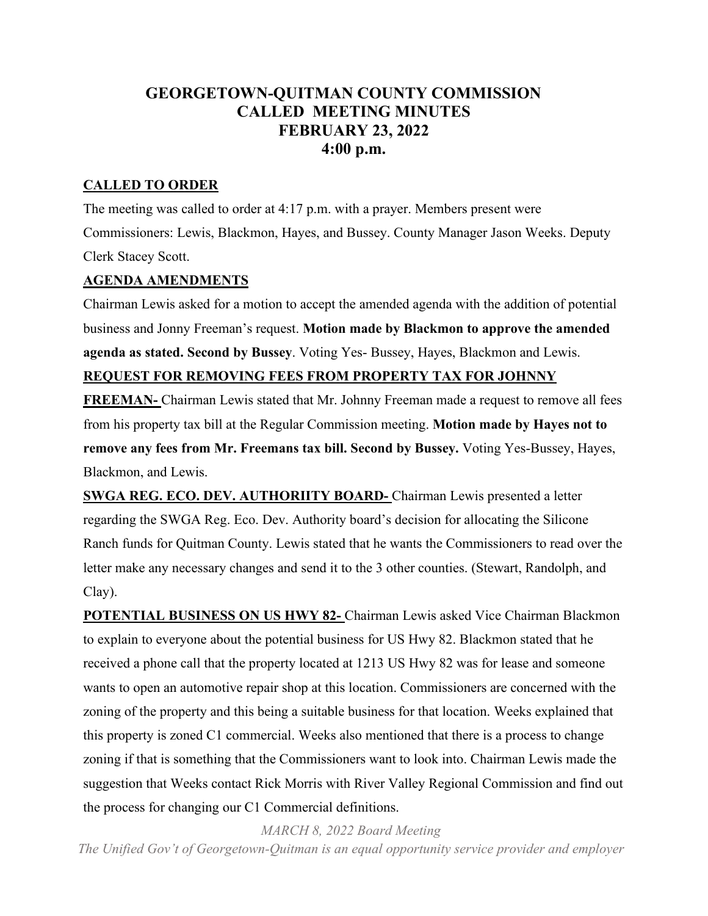# **GEORGETOWN-QUITMAN COUNTY COMMISSION CALLED MEETING MINUTES FEBRUARY 23, 2022 4:00 p.m.**

#### **CALLED TO ORDER**

The meeting was called to order at 4:17 p.m. with a prayer. Members present were Commissioners: Lewis, Blackmon, Hayes, and Bussey. County Manager Jason Weeks. Deputy Clerk Stacey Scott.

#### **AGENDA AMENDMENTS**

Chairman Lewis asked for a motion to accept the amended agenda with the addition of potential business and Jonny Freeman's request. **Motion made by Blackmon to approve the amended agenda as stated. Second by Bussey**. Voting Yes- Bussey, Hayes, Blackmon and Lewis. **REQUEST FOR REMOVING FEES FROM PROPERTY TAX FOR JOHNNY** 

**FREEMAN-** Chairman Lewis stated that Mr. Johnny Freeman made a request to remove all fees from his property tax bill at the Regular Commission meeting. **Motion made by Hayes not to remove any fees from Mr. Freemans tax bill. Second by Bussey.** Voting Yes-Bussey, Hayes, Blackmon, and Lewis.

**SWGA REG. ECO. DEV. AUTHORIITY BOARD-** Chairman Lewis presented a letter regarding the SWGA Reg. Eco. Dev. Authority board's decision for allocating the Silicone Ranch funds for Quitman County. Lewis stated that he wants the Commissioners to read over the letter make any necessary changes and send it to the 3 other counties. (Stewart, Randolph, and Clay).

**POTENTIAL BUSINESS ON US HWY 82-** Chairman Lewis asked Vice Chairman Blackmon to explain to everyone about the potential business for US Hwy 82. Blackmon stated that he received a phone call that the property located at 1213 US Hwy 82 was for lease and someone wants to open an automotive repair shop at this location. Commissioners are concerned with the zoning of the property and this being a suitable business for that location. Weeks explained that this property is zoned C1 commercial. Weeks also mentioned that there is a process to change zoning if that is something that the Commissioners want to look into. Chairman Lewis made the suggestion that Weeks contact Rick Morris with River Valley Regional Commission and find out the process for changing our C1 Commercial definitions.

*MARCH 8, 2022 Board Meeting*